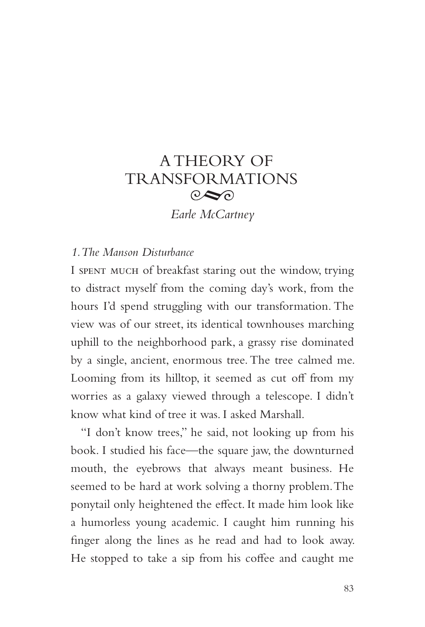# A THEORY OF TRANSFORMATIONS  $\odot \odot$

*Earle McCartney*

## *1. The Manson Disturbance*

I spent much of breakfast staring out the window, trying to distract myself from the coming day's work, from the hours I'd spend struggling with our transformation. The view was of our street, its identical townhouses marching uphill to the neighborhood park, a grassy rise dominated by a single, ancient, enormous tree. The tree calmed me. Looming from its hilltop, it seemed as cut off from my worries as a galaxy viewed through a telescope. I didn't know what kind of tree it was. I asked Marshall.

"I don't know trees," he said, not looking up from his book. I studied his face—the square jaw, the downturned mouth, the eyebrows that always meant business. He seemed to be hard at work solving a thorny problem. The ponytail only heightened the effect. It made him look like a humorless young academic. I caught him running his finger along the lines as he read and had to look away. He stopped to take a sip from his coffee and caught me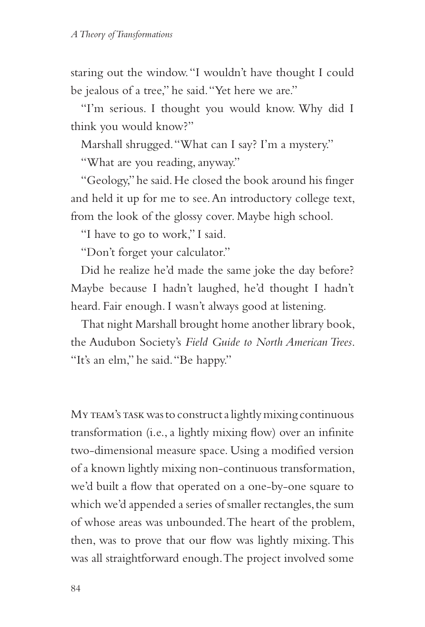staring out the window. "I wouldn't have thought I could be jealous of a tree," he said. "Yet here we are."

"I'm serious. I thought you would know. Why did I think you would know?"

Marshall shrugged. "What can I say? I'm a mystery."

"What are you reading, anyway."

"Geology," he said. He closed the book around his finger and held it up for me to see. An introductory college text, from the look of the glossy cover. Maybe high school.

"I have to go to work," I said.

"Don't forget your calculator."

Did he realize he'd made the same joke the day before? Maybe because I hadn't laughed, he'd thought I hadn't heard. Fair enough. I wasn't always good at listening.

That night Marshall brought home another library book, the Audubon Society's *Field Guide to North American Trees*. "It's an elm," he said. "Be happy."

My TEAM's TASK was to construct a lightly mixing continuous transformation (i.e., a lightly mixing flow) over an infinite two-dimensional measure space. Using a modified version of a known lightly mixing non-continuous transformation, we'd built a flow that operated on a one-by-one square to which we'd appended a series of smaller rectangles, the sum of whose areas was unbounded. The heart of the problem, then, was to prove that our flow was lightly mixing. This was all straightforward enough. The project involved some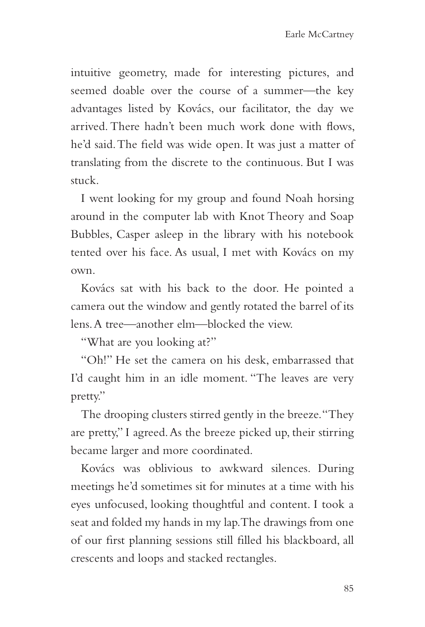intuitive geometry, made for interesting pictures, and seemed doable over the course of a summer—the key advantages listed by Kovács, our facilitator, the day we arrived. There hadn't been much work done with flows, he'd said. The field was wide open. It was just a matter of translating from the discrete to the continuous. But I was stuck.

I went looking for my group and found Noah horsing around in the computer lab with Knot Theory and Soap Bubbles, Casper asleep in the library with his notebook tented over his face. As usual, I met with Kovács on my own.

Kovács sat with his back to the door. He pointed a camera out the window and gently rotated the barrel of its lens. A tree—another elm—blocked the view.

"What are you looking at?"

"Oh!" He set the camera on his desk, embarrassed that I'd caught him in an idle moment. "The leaves are very pretty."

The drooping clusters stirred gently in the breeze. "They are pretty," I agreed. As the breeze picked up, their stirring became larger and more coordinated.

Kovács was oblivious to awkward silences. During meetings he'd sometimes sit for minutes at a time with his eyes unfocused, looking thoughtful and content. I took a seat and folded my hands in my lap. The drawings from one of our first planning sessions still filled his blackboard, all crescents and loops and stacked rectangles.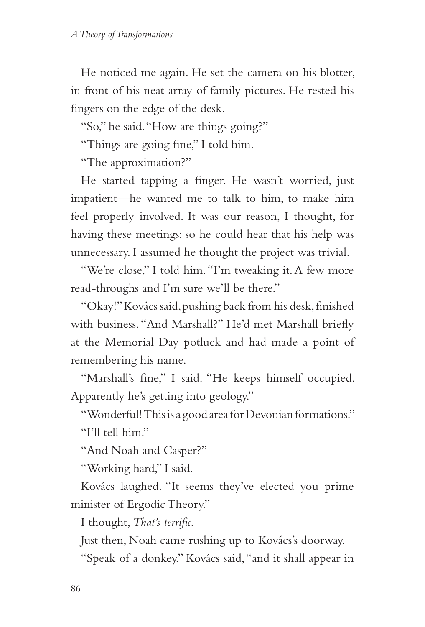He noticed me again. He set the camera on his blotter, in front of his neat array of family pictures. He rested his fingers on the edge of the desk.

"So," he said. "How are things going?"

"Things are going fine," I told him.

"The approximation?"

He started tapping a finger. He wasn't worried, just impatient—he wanted me to talk to him, to make him feel properly involved. It was our reason, I thought, for having these meetings: so he could hear that his help was unnecessary. I assumed he thought the project was trivial.

"We're close," I told him. "I'm tweaking it. A few more read-throughs and I'm sure we'll be there."

"Okay!" Kovács said, pushing back from his desk, finished with business. "And Marshall?" He'd met Marshall briefly at the Memorial Day potluck and had made a point of remembering his name.

"Marshall's fine," I said. "He keeps himself occupied. Apparently he's getting into geology."

"Wonderful! This is a good area for Devonian formations." "I'll tell him"

"And Noah and Casper?"

"Working hard," I said.

Kovács laughed. "It seems they've elected you prime minister of Ergodic Theory."

I thought, *That's terrific.*

Just then, Noah came rushing up to Kovács's doorway.

"Speak of a donkey," Kovács said, "and it shall appear in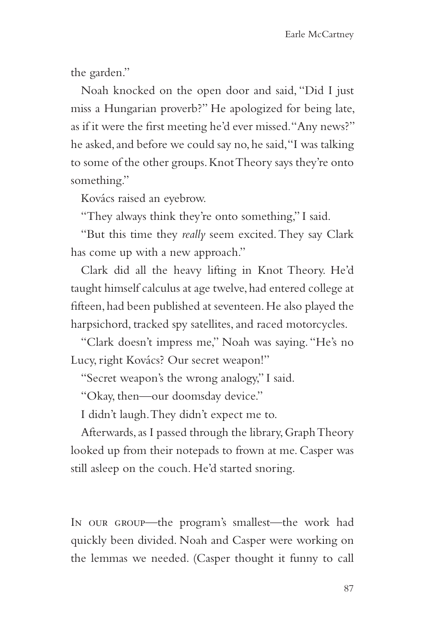the garden."

Noah knocked on the open door and said, "Did I just miss a Hungarian proverb?" He apologized for being late, as if it were the first meeting he'd ever missed. "Any news?" he asked, and before we could say no, he said, "I was talking to some of the other groups. Knot Theory says they're onto something."

Kovács raised an eyebrow.

"They always think they're onto something," I said.

"But this time they *really* seem excited. They say Clark has come up with a new approach."

Clark did all the heavy lifting in Knot Theory. He'd taught himself calculus at age twelve, had entered college at fifteen, had been published at seventeen. He also played the harpsichord, tracked spy satellites, and raced motorcycles.

"Clark doesn't impress me," Noah was saying. "He's no Lucy, right Kovács? Our secret weapon!"

"Secret weapon's the wrong analogy," I said.

"Okay, then—our doomsday device."

I didn't laugh. They didn't expect me to.

Afterwards, as I passed through the library, Graph Theory looked up from their notepads to frown at me. Casper was still asleep on the couch. He'd started snoring.

In our group—the program's smallest—the work had quickly been divided. Noah and Casper were working on the lemmas we needed. (Casper thought it funny to call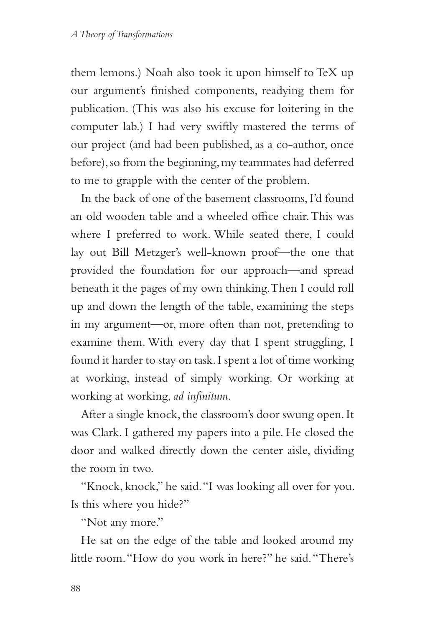them lemons.) Noah also took it upon himself to TeX up our argument's finished components, readying them for publication. (This was also his excuse for loitering in the computer lab.) I had very swiftly mastered the terms of our project (and had been published, as a co-author, once before), so from the beginning, my teammates had deferred to me to grapple with the center of the problem.

In the back of one of the basement classrooms, I'd found an old wooden table and a wheeled office chair. This was where I preferred to work. While seated there, I could lay out Bill Metzger's well-known proof—the one that provided the foundation for our approach—and spread beneath it the pages of my own thinking. Then I could roll up and down the length of the table, examining the steps in my argument—or, more often than not, pretending to examine them. With every day that I spent struggling, I found it harder to stay on task. I spent a lot of time working at working, instead of simply working. Or working at working at working, *ad infinitum*.

After a single knock, the classroom's door swung open. It was Clark. I gathered my papers into a pile. He closed the door and walked directly down the center aisle, dividing the room in two.

"Knock, knock," he said. "I was looking all over for you. Is this where you hide?"

"Not any more."

He sat on the edge of the table and looked around my little room. "How do you work in here?" he said. "There's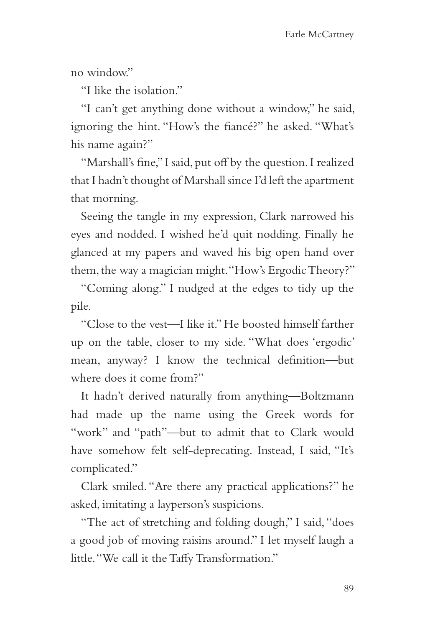no window."

"I like the isolation"

"I can't get anything done without a window," he said, ignoring the hint. "How's the fiancé?" he asked. "What's his name again?"

"Marshall's fine," I said, put off by the question. I realized that I hadn't thought of Marshall since I'd left the apartment that morning.

Seeing the tangle in my expression, Clark narrowed his eyes and nodded. I wished he'd quit nodding. Finally he glanced at my papers and waved his big open hand over them, the way a magician might. "How's Ergodic Theory?"

"Coming along." I nudged at the edges to tidy up the pile.

"Close to the vest—I like it." He boosted himself farther up on the table, closer to my side. "What does 'ergodic' mean, anyway? I know the technical definition—but where does it come from?"

It hadn't derived naturally from anything—Boltzmann had made up the name using the Greek words for "work" and "path"—but to admit that to Clark would have somehow felt self-deprecating. Instead, I said, "It's complicated."

Clark smiled. "Are there any practical applications?" he asked, imitating a layperson's suspicions.

"The act of stretching and folding dough," I said, "does a good job of moving raisins around." I let myself laugh a little. "We call it the Taffy Transformation."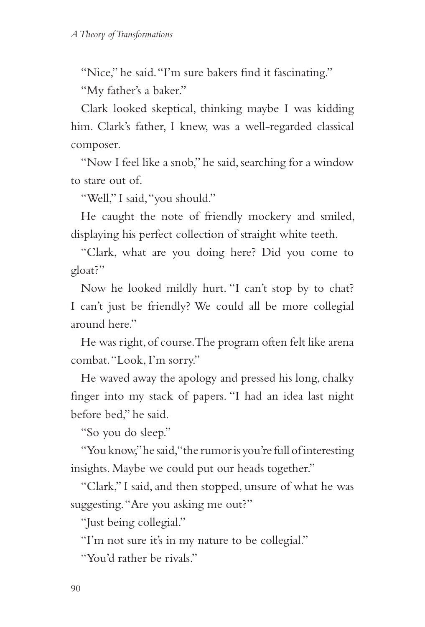"Nice," he said. "I'm sure bakers find it fascinating."

"My father's a baker."

Clark looked skeptical, thinking maybe I was kidding him. Clark's father, I knew, was a well-regarded classical composer.

"Now I feel like a snob," he said, searching for a window to stare out of.

"Well," I said, "you should."

He caught the note of friendly mockery and smiled, displaying his perfect collection of straight white teeth.

"Clark, what are you doing here? Did you come to gloat?"

Now he looked mildly hurt. "I can't stop by to chat? I can't just be friendly? We could all be more collegial around here."

He was right, of course. The program often felt like arena combat. "Look, I'm sorry."

He waved away the apology and pressed his long, chalky finger into my stack of papers. "I had an idea last night before bed," he said.

"So you do sleep."

"You know," he said, "the rumor is you're full of interesting insights. Maybe we could put our heads together."

"Clark," I said, and then stopped, unsure of what he was suggesting. "Are you asking me out?"

"Just being collegial."

"I'm not sure it's in my nature to be collegial."

"You'd rather be rivals."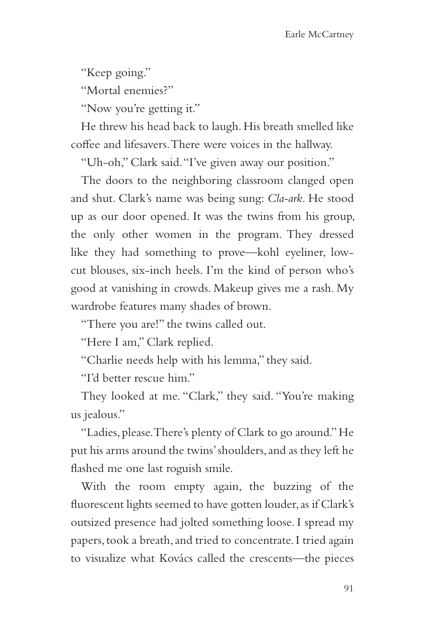"Keep going."

"Mortal enemies?"

"Now you're getting it."

He threw his head back to laugh. His breath smelled like coffee and lifesavers. There were voices in the hallway.

"Uh-oh," Clark said. "I've given away our position."

The doors to the neighboring classroom clanged open and shut. Clark's name was being sung: *Cla-ark*. He stood up as our door opened. It was the twins from his group, the only other women in the program. They dressed like they had something to prove—kohl eyeliner, lowcut blouses, six-inch heels. I'm the kind of person who's good at vanishing in crowds. Makeup gives me a rash. My wardrobe features many shades of brown.

"There you are!" the twins called out.

"Here I am," Clark replied.

"Charlie needs help with his lemma," they said.

"I'd better rescue him."

They looked at me. "Clark," they said. "You're making us jealous."

"Ladies, please. There's plenty of Clark to go around." He put his arms around the twins' shoulders, and as they left he flashed me one last roguish smile.

With the room empty again, the buzzing of the fluorescent lights seemed to have gotten louder, as if Clark's outsized presence had jolted something loose. I spread my papers, took a breath, and tried to concentrate. I tried again to visualize what Kovács called the crescents—the pieces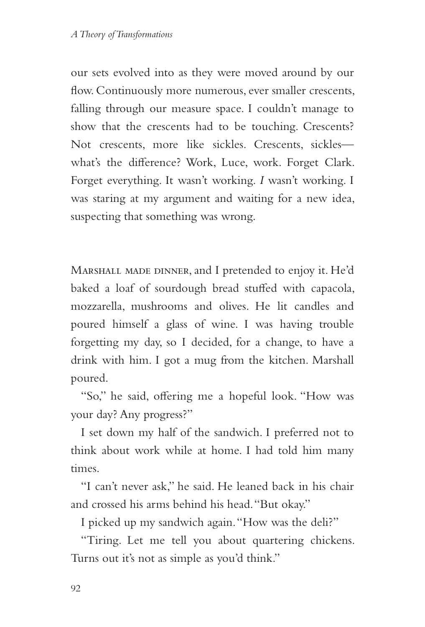our sets evolved into as they were moved around by our flow. Continuously more numerous, ever smaller crescents, falling through our measure space. I couldn't manage to show that the crescents had to be touching. Crescents? Not crescents, more like sickles. Crescents, sickles what's the difference? Work, Luce, work. Forget Clark. Forget everything. It wasn't working. *I* wasn't working. I was staring at my argument and waiting for a new idea, suspecting that something was wrong.

Marshall made dinner, and I pretended to enjoy it. He'd baked a loaf of sourdough bread stuffed with capacola, mozzarella, mushrooms and olives. He lit candles and poured himself a glass of wine. I was having trouble forgetting my day, so I decided, for a change, to have a drink with him. I got a mug from the kitchen. Marshall poured.

"So," he said, offering me a hopeful look. "How was your day? Any progress?"

I set down my half of the sandwich. I preferred not to think about work while at home. I had told him many times.

"I can't never ask," he said. He leaned back in his chair and crossed his arms behind his head. "But okay."

I picked up my sandwich again. "How was the deli?"

"Tiring. Let me tell you about quartering chickens. Turns out it's not as simple as you'd think."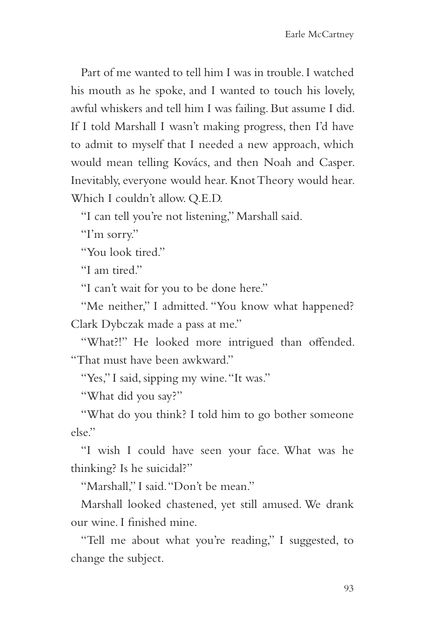Part of me wanted to tell him I was in trouble. I watched his mouth as he spoke, and I wanted to touch his lovely, awful whiskers and tell him I was failing. But assume I did. If I told Marshall I wasn't making progress, then I'd have to admit to myself that I needed a new approach, which would mean telling Kovács, and then Noah and Casper. Inevitably, everyone would hear. Knot Theory would hear. Which I couldn't allow. Q.E.D.

"I can tell you're not listening," Marshall said.

"I'm sorry."

"You look tired."

"I am tired."

"I can't wait for you to be done here."

"Me neither," I admitted. "You know what happened? Clark Dybczak made a pass at me."

"What?!" He looked more intrigued than offended. "That must have been awkward."

"Yes," I said, sipping my wine. "It was."

"What did you say?"

"What do you think? I told him to go bother someone else."

"I wish I could have seen your face. What was he thinking? Is he suicidal?"

"Marshall," I said. "Don't be mean."

Marshall looked chastened, yet still amused. We drank our wine. I finished mine.

"Tell me about what you're reading," I suggested, to change the subject.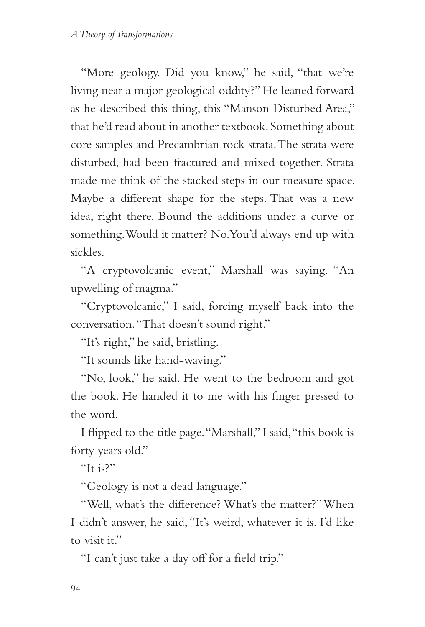"More geology. Did you know," he said, "that we're living near a major geological oddity?" He leaned forward as he described this thing, this "Manson Disturbed Area," that he'd read about in another textbook. Something about core samples and Precambrian rock strata. The strata were disturbed, had been fractured and mixed together. Strata made me think of the stacked steps in our measure space. Maybe a different shape for the steps. That was a new idea, right there. Bound the additions under a curve or something. Would it matter? No. You'd always end up with sickles.

"A cryptovolcanic event," Marshall was saying. "An upwelling of magma."

"Cryptovolcanic," I said, forcing myself back into the conversation. "That doesn't sound right."

"It's right," he said, bristling.

"It sounds like hand-waving."

"No, look," he said. He went to the bedroom and got the book. He handed it to me with his finger pressed to the word.

I flipped to the title page. "Marshall," I said, "this book is forty years old."

"It is?"

"Geology is not a dead language."

"Well, what's the difference? What's the matter?" When I didn't answer, he said, "It's weird, whatever it is. I'd like to visit it."

"I can't just take a day off for a field trip."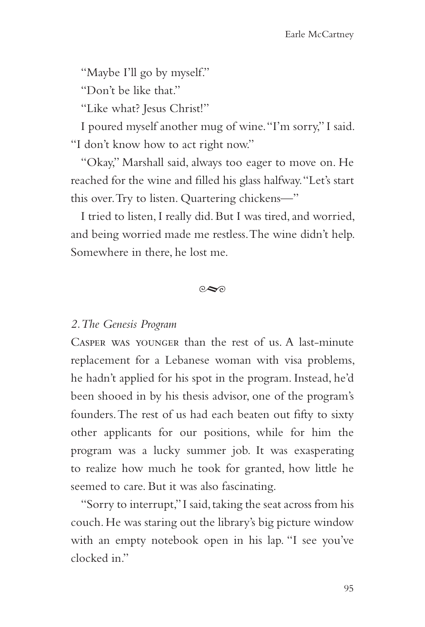"Maybe I'll go by myself."

"Don't be like that."

"Like what? Jesus Christ!"

I poured myself another mug of wine. "I'm sorry," I said. "I don't know how to act right now."

"Okay," Marshall said, always too eager to move on. He reached for the wine and filled his glass halfway. "Let's start this over. Try to listen. Quartering chickens—"

I tried to listen, I really did. But I was tired, and worried, and being worried made me restless. The wine didn't help. Somewhere in there, he lost me.

 $\circ \infty$ 

### *2. The Genesis Program*

Casper was younger than the rest of us. A last-minute replacement for a Lebanese woman with visa problems, he hadn't applied for his spot in the program. Instead, he'd been shooed in by his thesis advisor, one of the program's founders. The rest of us had each beaten out fifty to sixty other applicants for our positions, while for him the program was a lucky summer job. It was exasperating to realize how much he took for granted, how little he seemed to care. But it was also fascinating.

"Sorry to interrupt," I said, taking the seat across from his couch. He was staring out the library's big picture window with an empty notebook open in his lap. "I see you've clocked in."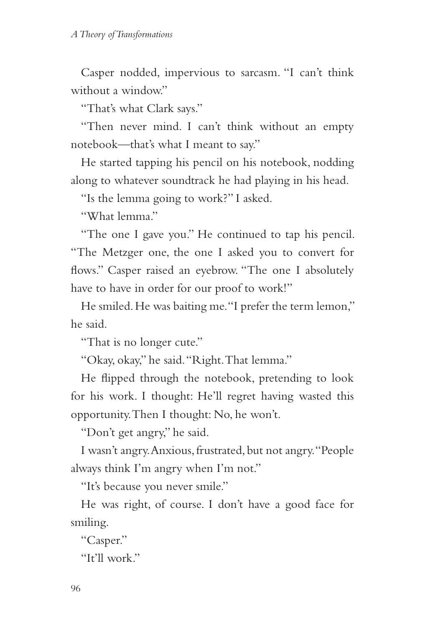Casper nodded, impervious to sarcasm. "I can't think without a window."

"That's what Clark says."

"Then never mind. I can't think without an empty notebook—that's what I meant to say."

He started tapping his pencil on his notebook, nodding along to whatever soundtrack he had playing in his head.

"Is the lemma going to work?" I asked.

"What lemma"

"The one I gave you." He continued to tap his pencil. "The Metzger one, the one I asked you to convert for flows." Casper raised an eyebrow. "The one I absolutely have to have in order for our proof to work!"

He smiled. He was baiting me. "I prefer the term lemon," he said.

"That is no longer cute."

"Okay, okay," he said. "Right. That lemma."

He flipped through the notebook, pretending to look for his work. I thought: He'll regret having wasted this opportunity. Then I thought: No, he won't.

"Don't get angry," he said.

I wasn't angry. Anxious, frustrated, but not angry. "People always think I'm angry when I'm not."

"It's because you never smile."

He was right, of course. I don't have a good face for smiling.

"Casper."

"It'll work."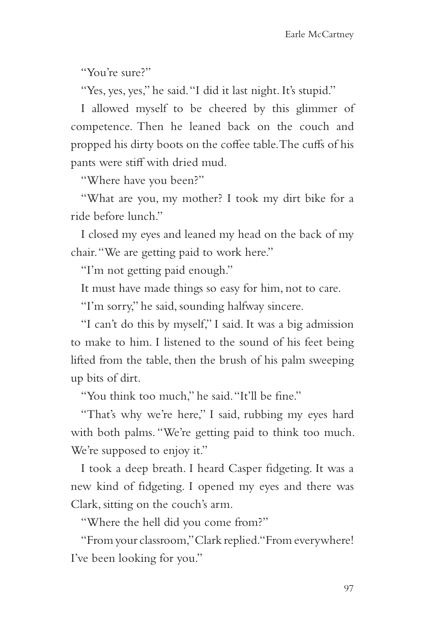"You're sure?"

"Yes, yes, yes," he said. "I did it last night. It's stupid."

I allowed myself to be cheered by this glimmer of competence. Then he leaned back on the couch and propped his dirty boots on the coffee table. The cuffs of his pants were stiff with dried mud.

"Where have you been?"

"What are you, my mother? I took my dirt bike for a ride before lunch."

I closed my eyes and leaned my head on the back of my chair. "We are getting paid to work here."

"I'm not getting paid enough."

It must have made things so easy for him, not to care.

"I'm sorry," he said, sounding halfway sincere.

"I can't do this by myself," I said. It was a big admission to make to him. I listened to the sound of his feet being lifted from the table, then the brush of his palm sweeping up bits of dirt.

"You think too much," he said. "It'll be fine."

"That's why we're here," I said, rubbing my eyes hard with both palms. "We're getting paid to think too much. We're supposed to enjoy it."

I took a deep breath. I heard Casper fidgeting. It was a new kind of fidgeting. I opened my eyes and there was Clark, sitting on the couch's arm.

"Where the hell did you come from?"

"From your classroom," Clark replied. "From everywhere! I've been looking for you."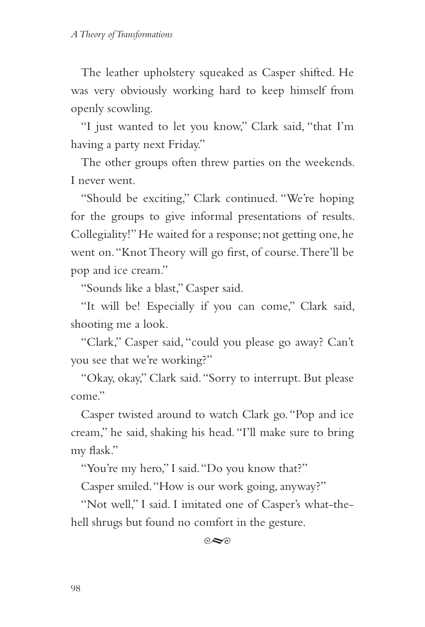The leather upholstery squeaked as Casper shifted. He was very obviously working hard to keep himself from openly scowling.

"I just wanted to let you know," Clark said, "that I'm having a party next Friday."

The other groups often threw parties on the weekends. I never went.

"Should be exciting," Clark continued. "We're hoping for the groups to give informal presentations of results. Collegiality!" He waited for a response; not getting one, he went on. "Knot Theory will go first, of course. There'll be pop and ice cream."

"Sounds like a blast," Casper said.

"It will be! Especially if you can come," Clark said, shooting me a look.

"Clark," Casper said, "could you please go away? Can't you see that we're working?"

"Okay, okay," Clark said. "Sorry to interrupt. But please come."

Casper twisted around to watch Clark go. "Pop and ice cream," he said, shaking his head. "I'll make sure to bring my flask."

"You're my hero," I said. "Do you know that?"

Casper smiled. "How is our work going, anyway?"

"Not well," I said. I imitated one of Casper's what-thehell shrugs but found no comfort in the gesture.

 $\infty$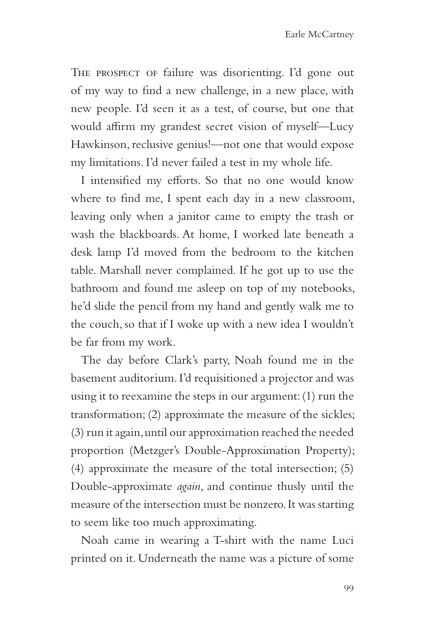The prospect of failure was disorienting. I'd gone out of my way to find a new challenge, in a new place, with new people. I'd seen it as a test, of course, but one that would affirm my grandest secret vision of myself—Lucy Hawkinson, reclusive genius!—not one that would expose my limitations. I'd never failed a test in my whole life.

I intensified my efforts. So that no one would know where to find me, I spent each day in a new classroom, leaving only when a janitor came to empty the trash or wash the blackboards. At home, I worked late beneath a desk lamp I'd moved from the bedroom to the kitchen table. Marshall never complained. If he got up to use the bathroom and found me asleep on top of my notebooks, he'd slide the pencil from my hand and gently walk me to the couch, so that if I woke up with a new idea I wouldn't be far from my work.

The day before Clark's party, Noah found me in the basement auditorium. I'd requisitioned a projector and was using it to reexamine the steps in our argument: (1) run the transformation; (2) approximate the measure of the sickles; (3) run it again, until our approximation reached the needed proportion (Metzger's Double-Approximation Property); (4) approximate the measure of the total intersection; (5) Double-approximate *again*, and continue thusly until the measure of the intersection must be nonzero. It was starting to seem like too much approximating.

Noah came in wearing a T-shirt with the name Luci printed on it. Underneath the name was a picture of some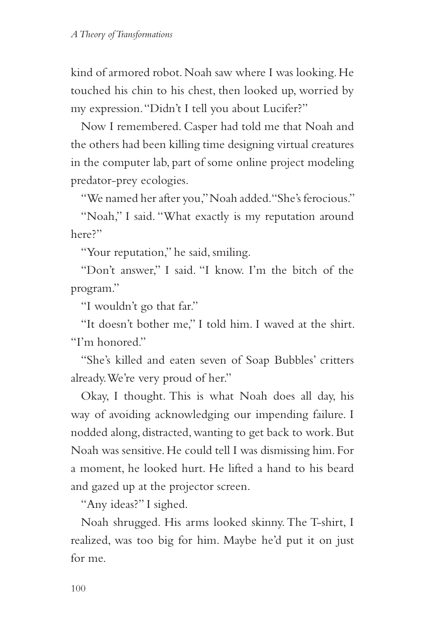kind of armored robot. Noah saw where I was looking. He touched his chin to his chest, then looked up, worried by my expression. "Didn't I tell you about Lucifer?"

Now I remembered. Casper had told me that Noah and the others had been killing time designing virtual creatures in the computer lab, part of some online project modeling predator-prey ecologies.

"We named her after you," Noah added. "She's ferocious."

"Noah," I said. "What exactly is my reputation around here?"

"Your reputation," he said, smiling.

"Don't answer," I said. "I know. I'm the bitch of the program."

"I wouldn't go that far."

"It doesn't bother me," I told him. I waved at the shirt. "I'm honored."

"She's killed and eaten seven of Soap Bubbles' critters already. We're very proud of her."

Okay, I thought. This is what Noah does all day, his way of avoiding acknowledging our impending failure. I nodded along, distracted, wanting to get back to work. But Noah was sensitive. He could tell I was dismissing him. For a moment, he looked hurt. He lifted a hand to his beard and gazed up at the projector screen.

"Any ideas?" I sighed.

Noah shrugged. His arms looked skinny. The T-shirt, I realized, was too big for him. Maybe he'd put it on just for me.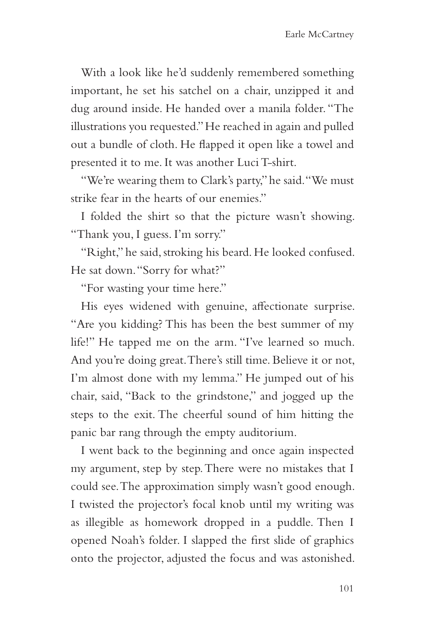With a look like he'd suddenly remembered something important, he set his satchel on a chair, unzipped it and dug around inside. He handed over a manila folder. "The illustrations you requested." He reached in again and pulled out a bundle of cloth. He flapped it open like a towel and presented it to me. It was another Luci T-shirt.

"We're wearing them to Clark's party," he said. "We must strike fear in the hearts of our enemies."

I folded the shirt so that the picture wasn't showing. "Thank you, I guess. I'm sorry."

"Right," he said, stroking his beard. He looked confused. He sat down. "Sorry for what?"

"For wasting your time here."

His eyes widened with genuine, affectionate surprise. "Are you kidding? This has been the best summer of my life!" He tapped me on the arm. "I've learned so much. And you're doing great. There's still time. Believe it or not, I'm almost done with my lemma." He jumped out of his chair, said, "Back to the grindstone," and jogged up the steps to the exit. The cheerful sound of him hitting the panic bar rang through the empty auditorium.

I went back to the beginning and once again inspected my argument, step by step. There were no mistakes that I could see. The approximation simply wasn't good enough. I twisted the projector's focal knob until my writing was as illegible as homework dropped in a puddle. Then I opened Noah's folder. I slapped the first slide of graphics onto the projector, adjusted the focus and was astonished.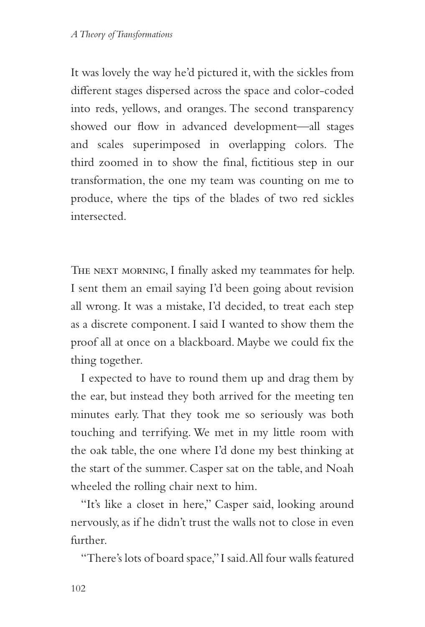It was lovely the way he'd pictured it, with the sickles from different stages dispersed across the space and color-coded into reds, yellows, and oranges. The second transparency showed our flow in advanced development—all stages and scales superimposed in overlapping colors. The third zoomed in to show the final, fictitious step in our transformation, the one my team was counting on me to produce, where the tips of the blades of two red sickles intersected.

THE NEXT MORNING, I finally asked my teammates for help. I sent them an email saying I'd been going about revision all wrong. It was a mistake, I'd decided, to treat each step as a discrete component. I said I wanted to show them the proof all at once on a blackboard. Maybe we could fix the thing together.

I expected to have to round them up and drag them by the ear, but instead they both arrived for the meeting ten minutes early. That they took me so seriously was both touching and terrifying. We met in my little room with the oak table, the one where I'd done my best thinking at the start of the summer. Casper sat on the table, and Noah wheeled the rolling chair next to him.

"It's like a closet in here," Casper said, looking around nervously, as if he didn't trust the walls not to close in even further.

"There's lots of board space," I said. All four walls featured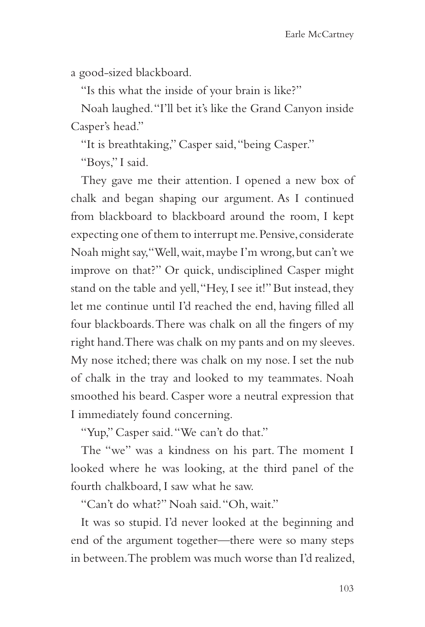a good-sized blackboard.

"Is this what the inside of your brain is like?"

Noah laughed. "I'll bet it's like the Grand Canyon inside Casper's head."

"It is breathtaking," Casper said, "being Casper."

"Boys," I said.

They gave me their attention. I opened a new box of chalk and began shaping our argument. As I continued from blackboard to blackboard around the room, I kept expecting one of them to interrupt me. Pensive, considerate Noah might say, "Well, wait, maybe I'm wrong, but can't we improve on that?" Or quick, undisciplined Casper might stand on the table and yell, "Hey, I see it!" But instead, they let me continue until I'd reached the end, having filled all four blackboards. There was chalk on all the fingers of my right hand. There was chalk on my pants and on my sleeves. My nose itched; there was chalk on my nose. I set the nub of chalk in the tray and looked to my teammates. Noah smoothed his beard. Casper wore a neutral expression that I immediately found concerning.

"Yup," Casper said. "We can't do that."

The "we" was a kindness on his part. The moment I looked where he was looking, at the third panel of the fourth chalkboard, I saw what he saw.

"Can't do what?" Noah said. "Oh, wait."

It was so stupid. I'd never looked at the beginning and end of the argument together—there were so many steps in between. The problem was much worse than I'd realized,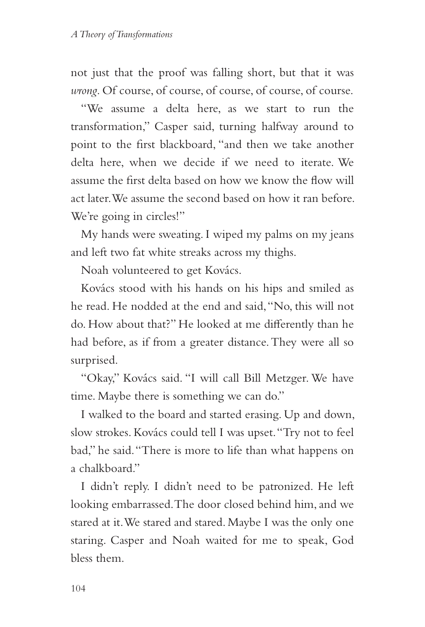not just that the proof was falling short, but that it was *wrong*. Of course, of course, of course, of course, of course.

"We assume a delta here, as we start to run the transformation," Casper said, turning halfway around to point to the first blackboard, "and then we take another delta here, when we decide if we need to iterate. We assume the first delta based on how we know the flow will act later. We assume the second based on how it ran before. We're going in circles!"

My hands were sweating. I wiped my palms on my jeans and left two fat white streaks across my thighs.

Noah volunteered to get Kovács.

Kovács stood with his hands on his hips and smiled as he read. He nodded at the end and said, "No, this will not do. How about that?" He looked at me differently than he had before, as if from a greater distance. They were all so surprised.

"Okay," Kovács said. "I will call Bill Metzger. We have time. Maybe there is something we can do."

I walked to the board and started erasing. Up and down, slow strokes. Kovács could tell I was upset. "Try not to feel bad," he said. "There is more to life than what happens on a chalkboard."

I didn't reply. I didn't need to be patronized. He left looking embarrassed. The door closed behind him, and we stared at it. We stared and stared. Maybe I was the only one staring. Casper and Noah waited for me to speak, God bless them.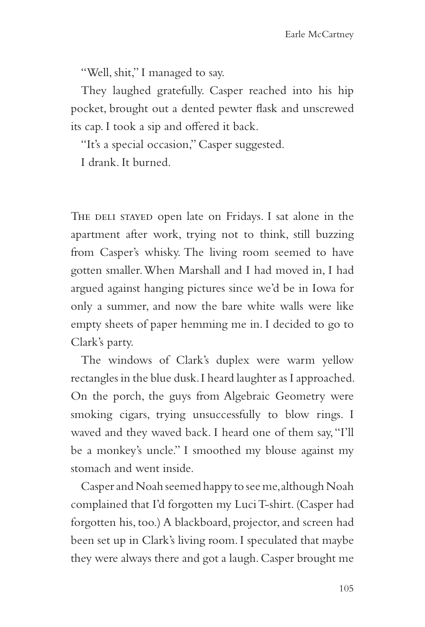"Well, shit," I managed to say.

They laughed gratefully. Casper reached into his hip pocket, brought out a dented pewter flask and unscrewed its cap. I took a sip and offered it back.

"It's a special occasion," Casper suggested.

I drank. It burned.

THE DELI STAYED open late on Fridays. I sat alone in the apartment after work, trying not to think, still buzzing from Casper's whisky. The living room seemed to have gotten smaller. When Marshall and I had moved in, I had argued against hanging pictures since we'd be in Iowa for only a summer, and now the bare white walls were like empty sheets of paper hemming me in. I decided to go to Clark's party.

The windows of Clark's duplex were warm yellow rectangles in the blue dusk. I heard laughter as I approached. On the porch, the guys from Algebraic Geometry were smoking cigars, trying unsuccessfully to blow rings. I waved and they waved back. I heard one of them say, "I'll be a monkey's uncle." I smoothed my blouse against my stomach and went inside.

Casper and Noah seemed happy to see me, although Noah complained that I'd forgotten my Luci T-shirt. (Casper had forgotten his, too.) A blackboard, projector, and screen had been set up in Clark's living room. I speculated that maybe they were always there and got a laugh. Casper brought me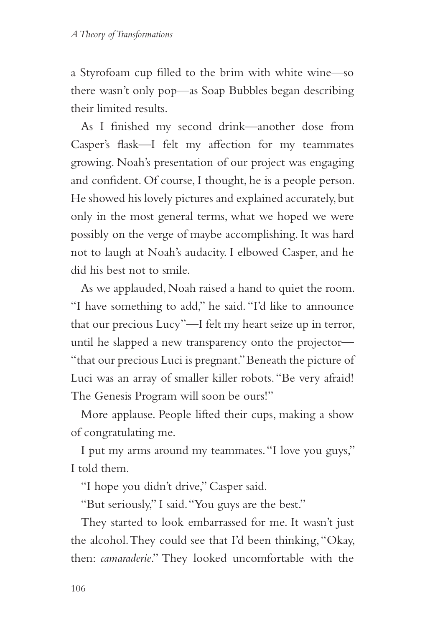a Styrofoam cup filled to the brim with white wine—so there wasn't only pop—as Soap Bubbles began describing their limited results.

As I finished my second drink—another dose from Casper's flask—I felt my affection for my teammates growing. Noah's presentation of our project was engaging and confident. Of course, I thought, he is a people person. He showed his lovely pictures and explained accurately, but only in the most general terms, what we hoped we were possibly on the verge of maybe accomplishing. It was hard not to laugh at Noah's audacity. I elbowed Casper, and he did his best not to smile.

As we applauded, Noah raised a hand to quiet the room. "I have something to add," he said. "I'd like to announce that our precious Lucy"—I felt my heart seize up in terror, until he slapped a new transparency onto the projector— "that our precious Luci is pregnant." Beneath the picture of Luci was an array of smaller killer robots. "Be very afraid! The Genesis Program will soon be ours!"

More applause. People lifted their cups, making a show of congratulating me.

I put my arms around my teammates. "I love you guys," I told them.

"I hope you didn't drive," Casper said.

"But seriously," I said. "You guys are the best."

They started to look embarrassed for me. It wasn't just the alcohol. They could see that I'd been thinking, "Okay, then: *camaraderie*." They looked uncomfortable with the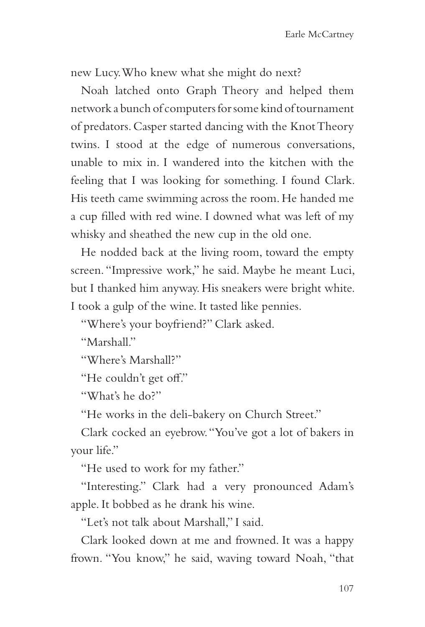new Lucy. Who knew what she might do next?

Noah latched onto Graph Theory and helped them network a bunch of computers for some kind of tournament of predators. Casper started dancing with the Knot Theory twins. I stood at the edge of numerous conversations, unable to mix in. I wandered into the kitchen with the feeling that I was looking for something. I found Clark. His teeth came swimming across the room. He handed me a cup filled with red wine. I downed what was left of my whisky and sheathed the new cup in the old one.

He nodded back at the living room, toward the empty screen. "Impressive work," he said. Maybe he meant Luci, but I thanked him anyway. His sneakers were bright white. I took a gulp of the wine. It tasted like pennies.

"Where's your boyfriend?" Clark asked.

"Marshall"

"Where's Marshall?"

"He couldn't get off."

"What's he do?"

"He works in the deli-bakery on Church Street."

Clark cocked an eyebrow. "You've got a lot of bakers in your life."

"He used to work for my father."

"Interesting." Clark had a very pronounced Adam's apple. It bobbed as he drank his wine.

"Let's not talk about Marshall," I said.

Clark looked down at me and frowned. It was a happy frown. "You know," he said, waving toward Noah, "that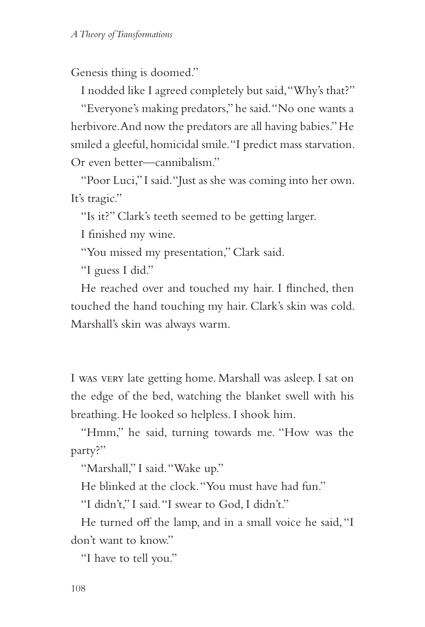Genesis thing is doomed."

I nodded like I agreed completely but said, "Why's that?"

"Everyone's making predators," he said. "No one wants a herbivore. And now the predators are all having babies." He smiled a gleeful, homicidal smile. "I predict mass starvation. Or even better—cannibalism."

"Poor Luci," I said. "Just as she was coming into her own. It's tragic."

"Is it?" Clark's teeth seemed to be getting larger.

I finished my wine.

"You missed my presentation," Clark said.

"I guess I did."

He reached over and touched my hair. I flinched, then touched the hand touching my hair. Clark's skin was cold. Marshall's skin was always warm.

I was very late getting home. Marshall was asleep. I sat on the edge of the bed, watching the blanket swell with his breathing. He looked so helpless. I shook him.

"Hmm," he said, turning towards me. "How was the party?"

"Marshall," I said. "Wake up."

He blinked at the clock. "You must have had fun."

"I didn't," I said. "I swear to God, I didn't."

He turned off the lamp, and in a small voice he said, "I don't want to know."

"I have to tell you."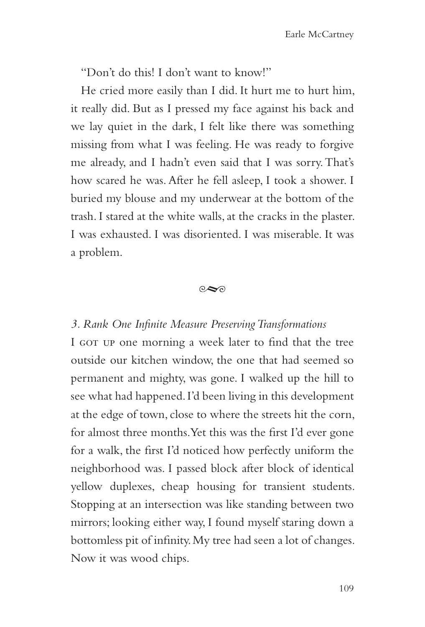"Don't do this! I don't want to know!"

He cried more easily than I did. It hurt me to hurt him, it really did. But as I pressed my face against his back and we lay quiet in the dark, I felt like there was something missing from what I was feeling. He was ready to forgive me already, and I hadn't even said that I was sorry. That's how scared he was. After he fell asleep, I took a shower. I buried my blouse and my underwear at the bottom of the trash. I stared at the white walls, at the cracks in the plaster. I was exhausted. I was disoriented. I was miserable. It was a problem.

#### $\circ \infty$

#### *3. Rank One Infinite Measure Preserving Transformations*

I GOT UP one morning a week later to find that the tree outside our kitchen window, the one that had seemed so permanent and mighty, was gone. I walked up the hill to see what had happened. I'd been living in this development at the edge of town, close to where the streets hit the corn, for almost three months. Yet this was the first I'd ever gone for a walk, the first I'd noticed how perfectly uniform the neighborhood was. I passed block after block of identical yellow duplexes, cheap housing for transient students. Stopping at an intersection was like standing between two mirrors; looking either way, I found myself staring down a bottomless pit of infinity. My tree had seen a lot of changes. Now it was wood chips.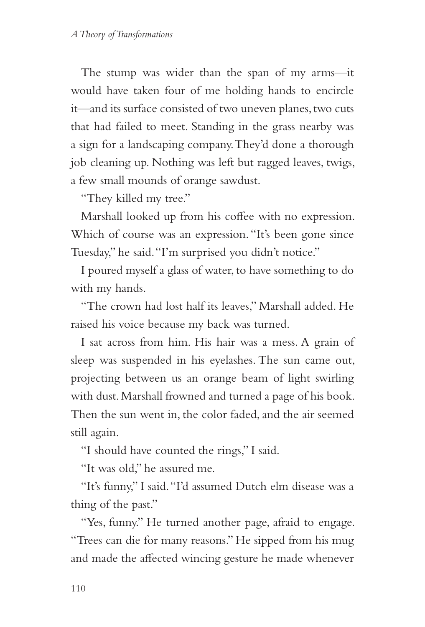The stump was wider than the span of my arms—it would have taken four of me holding hands to encircle it—and its surface consisted of two uneven planes, two cuts that had failed to meet. Standing in the grass nearby was a sign for a landscaping company. They'd done a thorough job cleaning up. Nothing was left but ragged leaves, twigs, a few small mounds of orange sawdust.

"They killed my tree."

Marshall looked up from his coffee with no expression. Which of course was an expression. "It's been gone since Tuesday," he said. "I'm surprised you didn't notice."

I poured myself a glass of water, to have something to do with my hands.

"The crown had lost half its leaves," Marshall added. He raised his voice because my back was turned.

I sat across from him. His hair was a mess. A grain of sleep was suspended in his eyelashes. The sun came out, projecting between us an orange beam of light swirling with dust. Marshall frowned and turned a page of his book. Then the sun went in, the color faded, and the air seemed still again.

"I should have counted the rings," I said.

"It was old," he assured me.

"It's funny," I said. "I'd assumed Dutch elm disease was a thing of the past."

"Yes, funny." He turned another page, afraid to engage. "Trees can die for many reasons." He sipped from his mug and made the affected wincing gesture he made whenever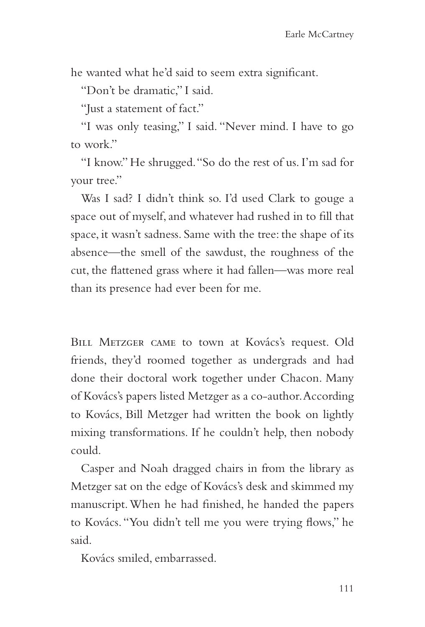he wanted what he'd said to seem extra significant.

"Don't be dramatic," I said.

"Just a statement of fact."

"I was only teasing," I said. "Never mind. I have to go to work."

"I know." He shrugged. "So do the rest of us. I'm sad for your tree."

Was I sad? I didn't think so. I'd used Clark to gouge a space out of myself, and whatever had rushed in to fill that space, it wasn't sadness. Same with the tree: the shape of its absence—the smell of the sawdust, the roughness of the cut, the flattened grass where it had fallen—was more real than its presence had ever been for me.

Bill Metzger came to town at Kovács's request. Old friends, they'd roomed together as undergrads and had done their doctoral work together under Chacon. Many of Kovács's papers listed Metzger as a co-author. According to Kovács, Bill Metzger had written the book on lightly mixing transformations. If he couldn't help, then nobody could.

Casper and Noah dragged chairs in from the library as Metzger sat on the edge of Kovács's desk and skimmed my manuscript. When he had finished, he handed the papers to Kovács. "You didn't tell me you were trying flows," he said.

Kovács smiled, embarrassed.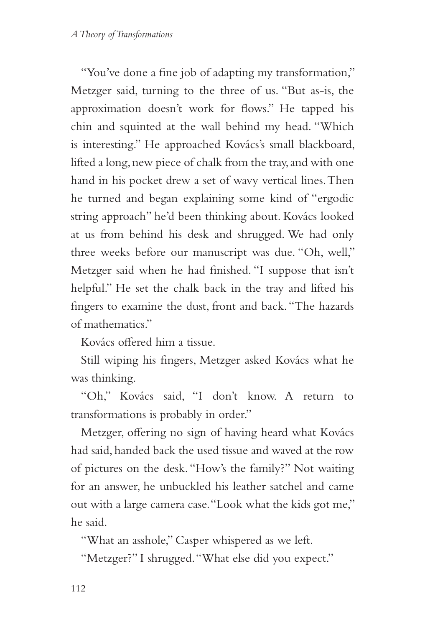"You've done a fine job of adapting my transformation," Metzger said, turning to the three of us. "But as-is, the approximation doesn't work for flows." He tapped his chin and squinted at the wall behind my head. "Which is interesting." He approached Kovács's small blackboard, lifted a long, new piece of chalk from the tray, and with one hand in his pocket drew a set of wavy vertical lines. Then he turned and began explaining some kind of "ergodic string approach" he'd been thinking about. Kovács looked at us from behind his desk and shrugged. We had only three weeks before our manuscript was due. "Oh, well," Metzger said when he had finished. "I suppose that isn't helpful." He set the chalk back in the tray and lifted his fingers to examine the dust, front and back. "The hazards of mathematics."

Kovács offered him a tissue.

Still wiping his fingers, Metzger asked Kovács what he was thinking.

"Oh," Kovács said, "I don't know. A return to transformations is probably in order."

Metzger, offering no sign of having heard what Kovács had said, handed back the used tissue and waved at the row of pictures on the desk. "How's the family?" Not waiting for an answer, he unbuckled his leather satchel and came out with a large camera case. "Look what the kids got me," he said.

"What an asshole," Casper whispered as we left.

"Metzger?" I shrugged. "What else did you expect."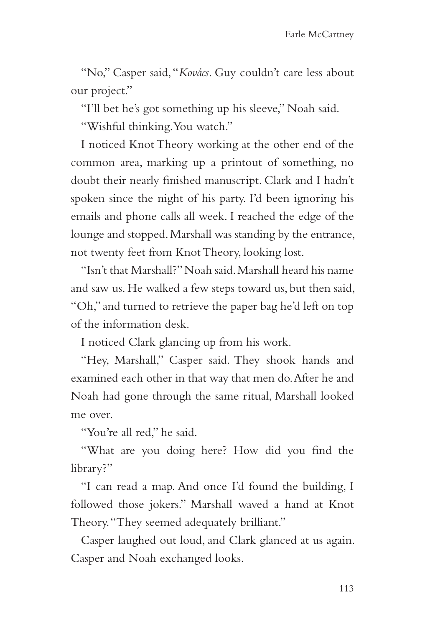"No," Casper said, "*Kovács*. Guy couldn't care less about our project."

"I'll bet he's got something up his sleeve," Noah said.

"Wishful thinking. You watch."

I noticed Knot Theory working at the other end of the common area, marking up a printout of something, no doubt their nearly finished manuscript. Clark and I hadn't spoken since the night of his party. I'd been ignoring his emails and phone calls all week. I reached the edge of the lounge and stopped. Marshall was standing by the entrance, not twenty feet from Knot Theory, looking lost.

"Isn't that Marshall?" Noah said. Marshall heard his name and saw us. He walked a few steps toward us, but then said, "Oh," and turned to retrieve the paper bag he'd left on top of the information desk.

I noticed Clark glancing up from his work.

"Hey, Marshall," Casper said. They shook hands and examined each other in that way that men do. After he and Noah had gone through the same ritual, Marshall looked me over.

"You're all red," he said.

"What are you doing here? How did you find the library?"

"I can read a map. And once I'd found the building, I followed those jokers." Marshall waved a hand at Knot Theory. "They seemed adequately brilliant."

Casper laughed out loud, and Clark glanced at us again. Casper and Noah exchanged looks.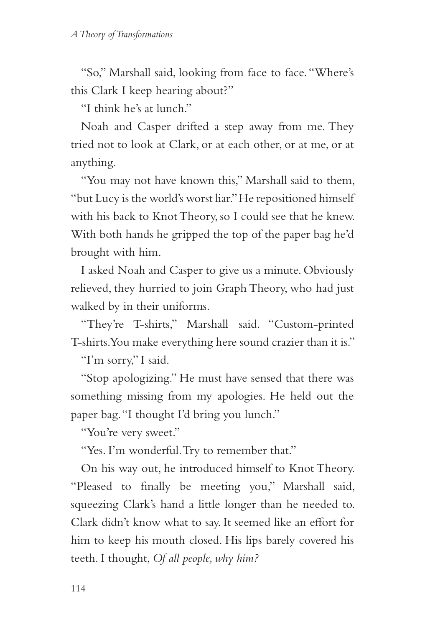"So," Marshall said, looking from face to face. "Where's this Clark I keep hearing about?"

"I think he's at lunch."

Noah and Casper drifted a step away from me. They tried not to look at Clark, or at each other, or at me, or at anything.

"You may not have known this," Marshall said to them, "but Lucy is the world's worst liar." He repositioned himself with his back to Knot Theory, so I could see that he knew. With both hands he gripped the top of the paper bag he'd brought with him.

I asked Noah and Casper to give us a minute. Obviously relieved, they hurried to join Graph Theory, who had just walked by in their uniforms.

"They're T-shirts," Marshall said. "Custom-printed T-shirts. You make everything here sound crazier than it is."

"I'm sorry," I said.

"Stop apologizing." He must have sensed that there was something missing from my apologies. He held out the paper bag. "I thought I'd bring you lunch."

"You're very sweet."

"Yes. I'm wonderful. Try to remember that."

On his way out, he introduced himself to Knot Theory. "Pleased to finally be meeting you," Marshall said, squeezing Clark's hand a little longer than he needed to. Clark didn't know what to say. It seemed like an effort for him to keep his mouth closed. His lips barely covered his teeth. I thought, *Of all people, why him?*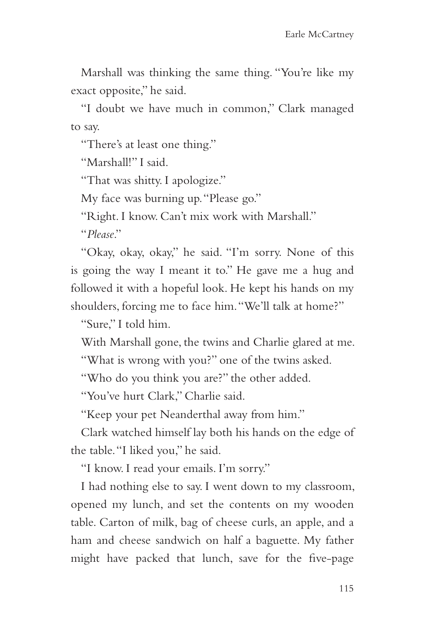Marshall was thinking the same thing. "You're like my exact opposite," he said.

"I doubt we have much in common," Clark managed to say.

"There's at least one thing."

"Marshall!" I said.

"That was shitty. I apologize."

My face was burning up. "Please go."

"Right. I know. Can't mix work with Marshall."

"*Please*."

"Okay, okay, okay," he said. "I'm sorry. None of this is going the way I meant it to." He gave me a hug and followed it with a hopeful look. He kept his hands on my shoulders, forcing me to face him. "We'll talk at home?"

"Sure," I told him.

With Marshall gone, the twins and Charlie glared at me.

"What is wrong with you?" one of the twins asked.

"Who do you think you are?" the other added.

"You've hurt Clark," Charlie said.

"Keep your pet Neanderthal away from him."

Clark watched himself lay both his hands on the edge of the table. "I liked you," he said.

"I know. I read your emails. I'm sorry."

I had nothing else to say. I went down to my classroom, opened my lunch, and set the contents on my wooden table. Carton of milk, bag of cheese curls, an apple, and a ham and cheese sandwich on half a baguette. My father might have packed that lunch, save for the five-page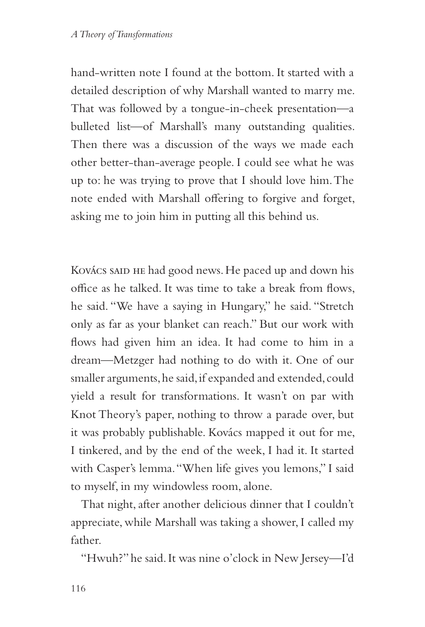hand-written note I found at the bottom. It started with a detailed description of why Marshall wanted to marry me. That was followed by a tongue-in-cheek presentation—a bulleted list—of Marshall's many outstanding qualities. Then there was a discussion of the ways we made each other better-than-average people. I could see what he was up to: he was trying to prove that I should love him. The note ended with Marshall offering to forgive and forget, asking me to join him in putting all this behind us.

Kovács said he had good news. He paced up and down his office as he talked. It was time to take a break from flows, he said. "We have a saying in Hungary," he said. "Stretch only as far as your blanket can reach." But our work with flows had given him an idea. It had come to him in a dream—Metzger had nothing to do with it. One of our smaller arguments, he said, if expanded and extended, could yield a result for transformations. It wasn't on par with Knot Theory's paper, nothing to throw a parade over, but it was probably publishable. Kovács mapped it out for me, I tinkered, and by the end of the week, I had it. It started with Casper's lemma. "When life gives you lemons," I said to myself, in my windowless room, alone.

That night, after another delicious dinner that I couldn't appreciate, while Marshall was taking a shower, I called my father.

"Hwuh?" he said. It was nine o'clock in New Jersey—I'd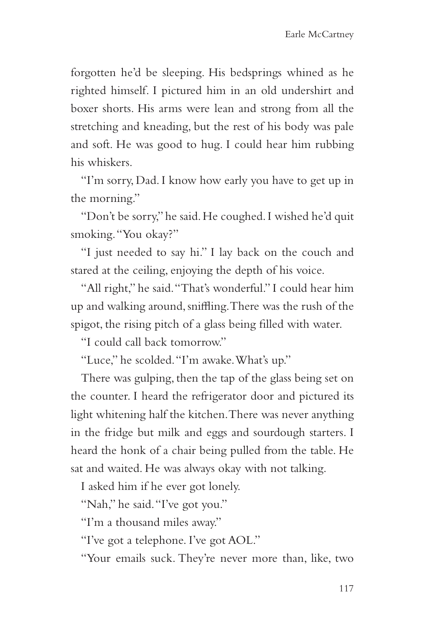forgotten he'd be sleeping. His bedsprings whined as he righted himself. I pictured him in an old undershirt and boxer shorts. His arms were lean and strong from all the stretching and kneading, but the rest of his body was pale and soft. He was good to hug. I could hear him rubbing his whiskers.

"I'm sorry, Dad. I know how early you have to get up in the morning."

"Don't be sorry," he said. He coughed. I wished he'd quit smoking. "You okay?"

"I just needed to say hi." I lay back on the couch and stared at the ceiling, enjoying the depth of his voice.

"All right," he said. "That's wonderful." I could hear him up and walking around, sniffling. There was the rush of the spigot, the rising pitch of a glass being filled with water.

"I could call back tomorrow."

"Luce," he scolded. "I'm awake. What's up."

There was gulping, then the tap of the glass being set on the counter. I heard the refrigerator door and pictured its light whitening half the kitchen. There was never anything in the fridge but milk and eggs and sourdough starters. I heard the honk of a chair being pulled from the table. He sat and waited. He was always okay with not talking.

I asked him if he ever got lonely.

"Nah," he said. "I've got you."

"I'm a thousand miles away."

"I've got a telephone. I've got AOL."

"Your emails suck. They're never more than, like, two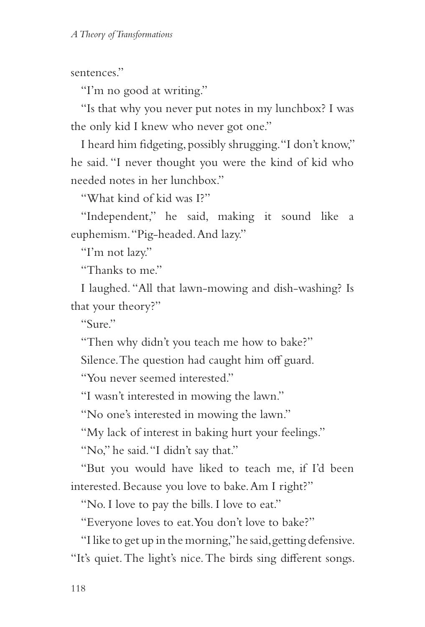sentences."

"I'm no good at writing."

"Is that why you never put notes in my lunchbox? I was the only kid I knew who never got one."

I heard him fidgeting, possibly shrugging. "I don't know," he said. "I never thought you were the kind of kid who needed notes in her lunchbox."

"What kind of kid was I?"

"Independent," he said, making it sound like a euphemism. "Pig-headed. And lazy."

"I'm not lazy."

"Thanks to me."

I laughed. "All that lawn-mowing and dish-washing? Is that your theory?"

" $\gamma$ Sure"

"Then why didn't you teach me how to bake?"

Silence. The question had caught him off guard.

"You never seemed interested."

"I wasn't interested in mowing the lawn."

"No one's interested in mowing the lawn."

"My lack of interest in baking hurt your feelings."

"No," he said. "I didn't say that."

"But you would have liked to teach me, if I'd been interested. Because you love to bake. Am I right?"

"No. I love to pay the bills. I love to eat."

"Everyone loves to eat. You don't love to bake?"

"I like to get up in the morning," he said, getting defensive. "It's quiet. The light's nice. The birds sing different songs.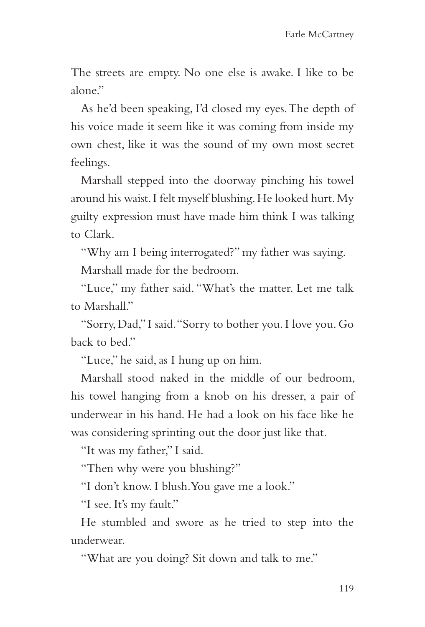The streets are empty. No one else is awake. I like to be alone."

As he'd been speaking, I'd closed my eyes. The depth of his voice made it seem like it was coming from inside my own chest, like it was the sound of my own most secret feelings.

Marshall stepped into the doorway pinching his towel around his waist. I felt myself blushing. He looked hurt. My guilty expression must have made him think I was talking to Clark.

"Why am I being interrogated?" my father was saying. Marshall made for the bedroom.

"Luce," my father said. "What's the matter. Let me talk to Marshall."

"Sorry, Dad," I said. "Sorry to bother you. I love you. Go back to bed."

"Luce," he said, as I hung up on him.

Marshall stood naked in the middle of our bedroom, his towel hanging from a knob on his dresser, a pair of underwear in his hand. He had a look on his face like he was considering sprinting out the door just like that.

"It was my father," I said.

"Then why were you blushing?"

"I don't know. I blush. You gave me a look."

"I see. It's my fault."

He stumbled and swore as he tried to step into the underwear.

"What are you doing? Sit down and talk to me."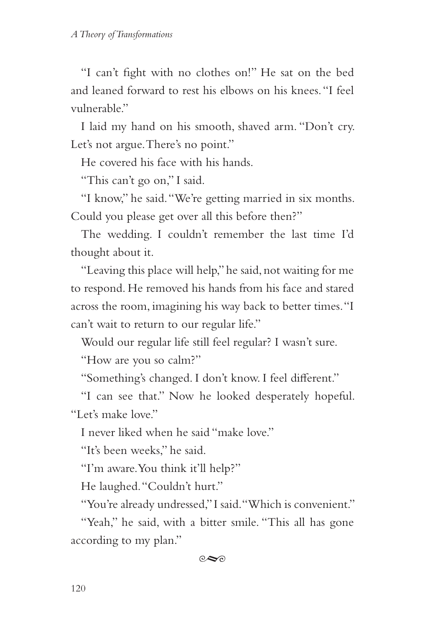"I can't fight with no clothes on!" He sat on the bed and leaned forward to rest his elbows on his knees. "I feel vulnerable"

I laid my hand on his smooth, shaved arm. "Don't cry. Let's not argue. There's no point."

He covered his face with his hands.

"This can't go on," I said.

"I know," he said. "We're getting married in six months. Could you please get over all this before then?"

The wedding. I couldn't remember the last time I'd thought about it.

"Leaving this place will help," he said, not waiting for me to respond. He removed his hands from his face and stared across the room, imagining his way back to better times. "I can't wait to return to our regular life."

Would our regular life still feel regular? I wasn't sure.

"How are you so calm?"

"Something's changed. I don't know. I feel different."

"I can see that." Now he looked desperately hopeful. "Let's make love."

I never liked when he said "make love."

"It's been weeks," he said.

"I'm aware. You think it'll help?"

He laughed. "Couldn't hurt."

"You're already undressed," I said. "Which is convenient."

"Yeah," he said, with a bitter smile. "This all has gone according to my plan."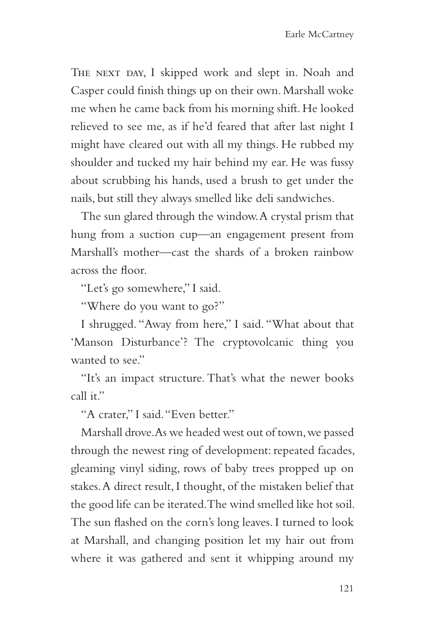THE NEXT DAY, I skipped work and slept in. Noah and Casper could finish things up on their own. Marshall woke me when he came back from his morning shift. He looked relieved to see me, as if he'd feared that after last night I might have cleared out with all my things. He rubbed my shoulder and tucked my hair behind my ear. He was fussy about scrubbing his hands, used a brush to get under the nails, but still they always smelled like deli sandwiches.

The sun glared through the window. A crystal prism that hung from a suction cup—an engagement present from Marshall's mother—cast the shards of a broken rainbow across the floor.

"Let's go somewhere," I said.

"Where do you want to go?"

I shrugged. "Away from here," I said. "What about that 'Manson Disturbance'? The cryptovolcanic thing you wanted to see."

"It's an impact structure. That's what the newer books call it."

"A crater," I said. "Even better."

Marshall drove. As we headed west out of town, we passed through the newest ring of development: repeated facades, gleaming vinyl siding, rows of baby trees propped up on stakes. A direct result, I thought, of the mistaken belief that the good life can be iterated. The wind smelled like hot soil. The sun flashed on the corn's long leaves. I turned to look at Marshall, and changing position let my hair out from where it was gathered and sent it whipping around my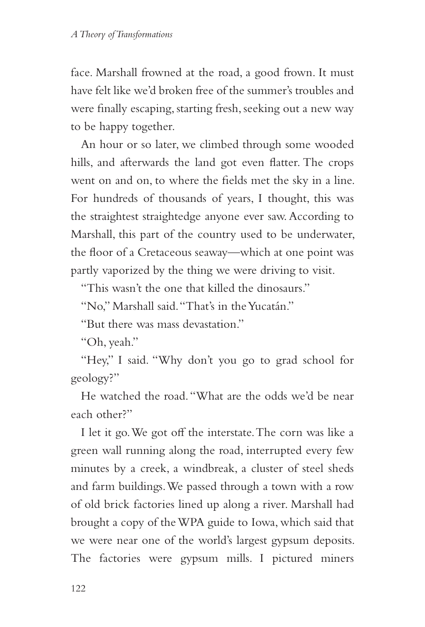face. Marshall frowned at the road, a good frown. It must have felt like we'd broken free of the summer's troubles and were finally escaping, starting fresh, seeking out a new way to be happy together.

An hour or so later, we climbed through some wooded hills, and afterwards the land got even flatter. The crops went on and on, to where the fields met the sky in a line. For hundreds of thousands of years, I thought, this was the straightest straightedge anyone ever saw. According to Marshall, this part of the country used to be underwater, the floor of a Cretaceous seaway—which at one point was partly vaporized by the thing we were driving to visit.

"This wasn't the one that killed the dinosaurs."

"No," Marshall said. "That's in the Yucatán."

"But there was mass devastation."

"Oh, yeah."

"Hey," I said. "Why don't you go to grad school for geology?"

He watched the road. "What are the odds we'd be near each other?"

I let it go. We got off the interstate. The corn was like a green wall running along the road, interrupted every few minutes by a creek, a windbreak, a cluster of steel sheds and farm buildings. We passed through a town with a row of old brick factories lined up along a river. Marshall had brought a copy of the WPA guide to Iowa, which said that we were near one of the world's largest gypsum deposits. The factories were gypsum mills. I pictured miners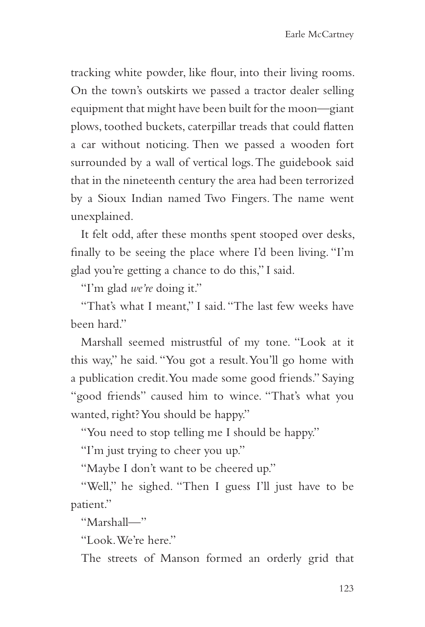tracking white powder, like flour, into their living rooms. On the town's outskirts we passed a tractor dealer selling equipment that might have been built for the moon—giant plows, toothed buckets, caterpillar treads that could flatten a car without noticing. Then we passed a wooden fort surrounded by a wall of vertical logs. The guidebook said that in the nineteenth century the area had been terrorized by a Sioux Indian named Two Fingers. The name went unexplained.

It felt odd, after these months spent stooped over desks, finally to be seeing the place where I'd been living. "I'm glad you're getting a chance to do this," I said.

"I'm glad *we're* doing it."

"That's what I meant," I said. "The last few weeks have been hard."

Marshall seemed mistrustful of my tone. "Look at it this way," he said. "You got a result. You'll go home with a publication credit. You made some good friends." Saying "good friends" caused him to wince. "That's what you wanted, right? You should be happy."

"You need to stop telling me I should be happy."

"I'm just trying to cheer you up."

"Maybe I don't want to be cheered up."

"Well," he sighed. "Then I guess I'll just have to be patient."

"Marshall—"

"Look We're here"

The streets of Manson formed an orderly grid that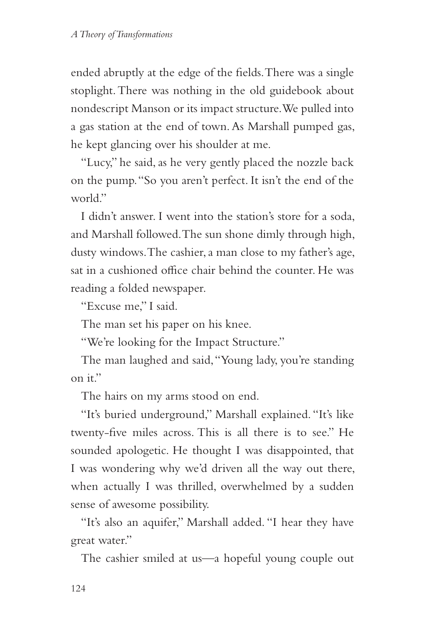ended abruptly at the edge of the fields. There was a single stoplight. There was nothing in the old guidebook about nondescript Manson or its impact structure. We pulled into a gas station at the end of town. As Marshall pumped gas, he kept glancing over his shoulder at me.

"Lucy," he said, as he very gently placed the nozzle back on the pump. "So you aren't perfect. It isn't the end of the world."

I didn't answer. I went into the station's store for a soda, and Marshall followed. The sun shone dimly through high, dusty windows. The cashier, a man close to my father's age, sat in a cushioned office chair behind the counter. He was reading a folded newspaper.

"Excuse me," I said.

The man set his paper on his knee.

"We're looking for the Impact Structure."

The man laughed and said, "Young lady, you're standing  $\infty$  it."

The hairs on my arms stood on end.

"It's buried underground," Marshall explained. "It's like twenty-five miles across. This is all there is to see." He sounded apologetic. He thought I was disappointed, that I was wondering why we'd driven all the way out there, when actually I was thrilled, overwhelmed by a sudden sense of awesome possibility.

"It's also an aquifer," Marshall added. "I hear they have great water."

The cashier smiled at us—a hopeful young couple out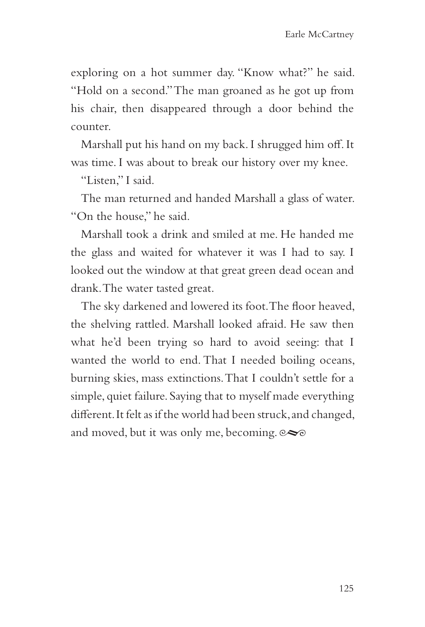exploring on a hot summer day. "Know what?" he said. "Hold on a second." The man groaned as he got up from his chair, then disappeared through a door behind the counter.

Marshall put his hand on my back. I shrugged him off. It was time. I was about to break our history over my knee.

"Listen," I said.

The man returned and handed Marshall a glass of water. "On the house," he said.

Marshall took a drink and smiled at me. He handed me the glass and waited for whatever it was I had to say. I looked out the window at that great green dead ocean and drank. The water tasted great.

The sky darkened and lowered its foot. The floor heaved, the shelving rattled. Marshall looked afraid. He saw then what he'd been trying so hard to avoid seeing: that I wanted the world to end. That I needed boiling oceans, burning skies, mass extinctions. That I couldn't settle for a simple, quiet failure. Saying that to myself made everything different. It felt as if the world had been struck, and changed, and moved, but it was only me, becoming.  $\infty$